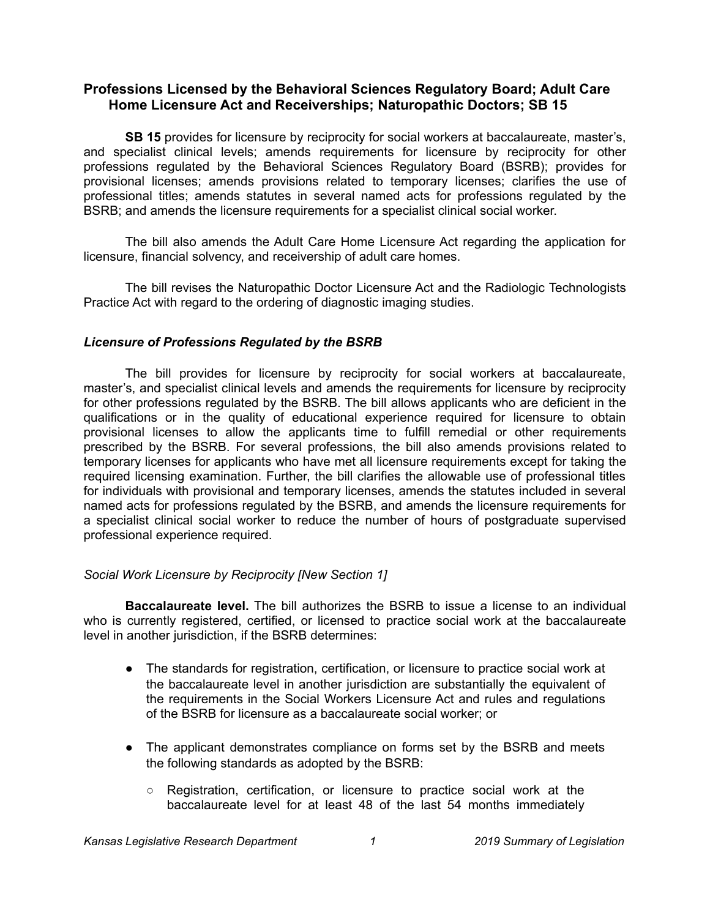# **Professions Licensed by the Behavioral Sciences Regulatory Board; Adult Care Home Licensure Act and Receiverships; Naturopathic Doctors; SB 15**

**SB 15** provides for licensure by reciprocity for social workers at baccalaureate, master's, and specialist clinical levels; amends requirements for licensure by reciprocity for other professions regulated by the Behavioral Sciences Regulatory Board (BSRB); provides for provisional licenses; amends provisions related to temporary licenses; clarifies the use of professional titles; amends statutes in several named acts for professions regulated by the BSRB; and amends the licensure requirements for a specialist clinical social worker.

The bill also amends the Adult Care Home Licensure Act regarding the application for licensure, financial solvency, and receivership of adult care homes.

The bill revises the Naturopathic Doctor Licensure Act and the Radiologic Technologists Practice Act with regard to the ordering of diagnostic imaging studies.

## *Licensure of Professions Regulated by the BSRB*

The bill provides for licensure by reciprocity for social workers at baccalaureate, master's, and specialist clinical levels and amends the requirements for licensure by reciprocity for other professions regulated by the BSRB. The bill allows applicants who are deficient in the qualifications or in the quality of educational experience required for licensure to obtain provisional licenses to allow the applicants time to fulfill remedial or other requirements prescribed by the BSRB. For several professions, the bill also amends provisions related to temporary licenses for applicants who have met all licensure requirements except for taking the required licensing examination. Further, the bill clarifies the allowable use of professional titles for individuals with provisional and temporary licenses, amends the statutes included in several named acts for professions regulated by the BSRB, and amends the licensure requirements for a specialist clinical social worker to reduce the number of hours of postgraduate supervised professional experience required.

## *Social Work Licensure by Reciprocity [New Section 1]*

**Baccalaureate level.** The bill authorizes the BSRB to issue a license to an individual who is currently registered, certified, or licensed to practice social work at the baccalaureate level in another jurisdiction, if the BSRB determines:

- The standards for registration, certification, or licensure to practice social work at the baccalaureate level in another jurisdiction are substantially the equivalent of the requirements in the Social Workers Licensure Act and rules and regulations of the BSRB for licensure as a baccalaureate social worker; or
- The applicant demonstrates compliance on forms set by the BSRB and meets the following standards as adopted by the BSRB:
	- Registration, certification, or licensure to practice social work at the baccalaureate level for at least 48 of the last 54 months immediately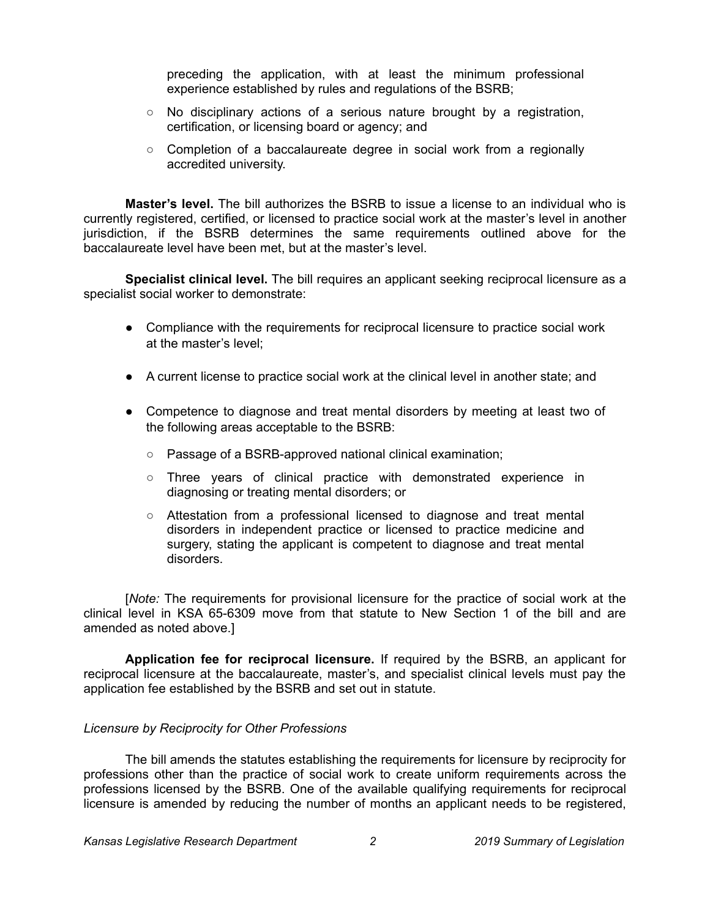preceding the application, with at least the minimum professional experience established by rules and regulations of the BSRB;

- $\circ$  No disciplinary actions of a serious nature brought by a registration, certification, or licensing board or agency; and
- Completion of a baccalaureate degree in social work from a regionally accredited university.

**Master's level.** The bill authorizes the BSRB to issue a license to an individual who is currently registered, certified, or licensed to practice social work at the master's level in another jurisdiction, if the BSRB determines the same requirements outlined above for the baccalaureate level have been met, but at the master's level.

**Specialist clinical level.** The bill requires an applicant seeking reciprocal licensure as a specialist social worker to demonstrate:

- Compliance with the requirements for reciprocal licensure to practice social work at the master's level;
- A current license to practice social work at the clinical level in another state; and
- Competence to diagnose and treat mental disorders by meeting at least two of the following areas acceptable to the BSRB:
	- Passage of a BSRB-approved national clinical examination;
	- Three years of clinical practice with demonstrated experience in diagnosing or treating mental disorders; or
	- Attestation from a professional licensed to diagnose and treat mental disorders in independent practice or licensed to practice medicine and surgery, stating the applicant is competent to diagnose and treat mental disorders.

[*Note:* The requirements for provisional licensure for the practice of social work at the clinical level in KSA 65-6309 move from that statute to New Section 1 of the bill and are amended as noted above.]

**Application fee for reciprocal licensure.** If required by the BSRB, an applicant for reciprocal licensure at the baccalaureate, master's, and specialist clinical levels must pay the application fee established by the BSRB and set out in statute.

## *Licensure by Reciprocity for Other Professions*

The bill amends the statutes establishing the requirements for licensure by reciprocity for professions other than the practice of social work to create uniform requirements across the professions licensed by the BSRB. One of the available qualifying requirements for reciprocal licensure is amended by reducing the number of months an applicant needs to be registered,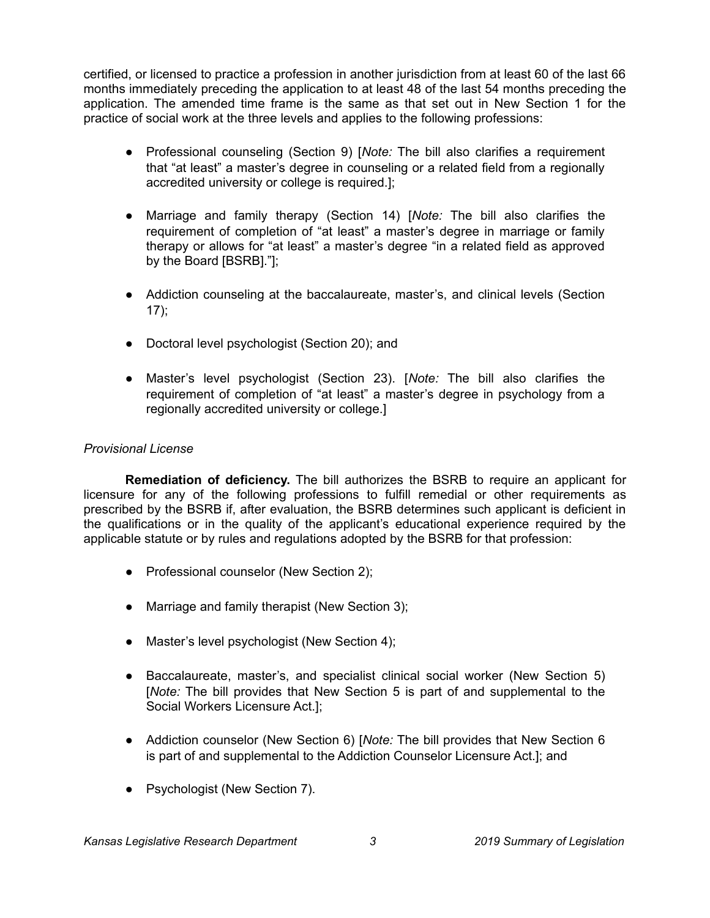certified, or licensed to practice a profession in another jurisdiction from at least 60 of the last 66 months immediately preceding the application to at least 48 of the last 54 months preceding the application. The amended time frame is the same as that set out in New Section 1 for the practice of social work at the three levels and applies to the following professions:

- Professional counseling (Section 9) [*Note:* The bill also clarifies a requirement that "at least" a master's degree in counseling or a related field from a regionally accredited university or college is required.];
- Marriage and family therapy (Section 14) [*Note:* The bill also clarifies the requirement of completion of "at least" a master's degree in marriage or family therapy or allows for "at least" a master's degree "in a related field as approved by the Board [BSRB]."];
- Addiction counseling at the baccalaureate, master's, and clinical levels (Section  $17$ ;
- Doctoral level psychologist (Section 20); and
- Master's level psychologist (Section 23). [*Note:* The bill also clarifies the requirement of completion of "at least" a master's degree in psychology from a regionally accredited university or college.]

# *Provisional License*

**Remediation of deficiency.** The bill authorizes the BSRB to require an applicant for licensure for any of the following professions to fulfill remedial or other requirements as prescribed by the BSRB if, after evaluation, the BSRB determines such applicant is deficient in the qualifications or in the quality of the applicant's educational experience required by the applicable statute or by rules and regulations adopted by the BSRB for that profession:

- Professional counselor (New Section 2);
- Marriage and family therapist (New Section 3);
- Master's level psychologist (New Section 4);
- Baccalaureate, master's, and specialist clinical social worker (New Section 5) [*Note:* The bill provides that New Section 5 is part of and supplemental to the Social Workers Licensure Act.];
- Addiction counselor (New Section 6) [*Note:* The bill provides that New Section 6 is part of and supplemental to the Addiction Counselor Licensure Act.]; and
- Psychologist (New Section 7).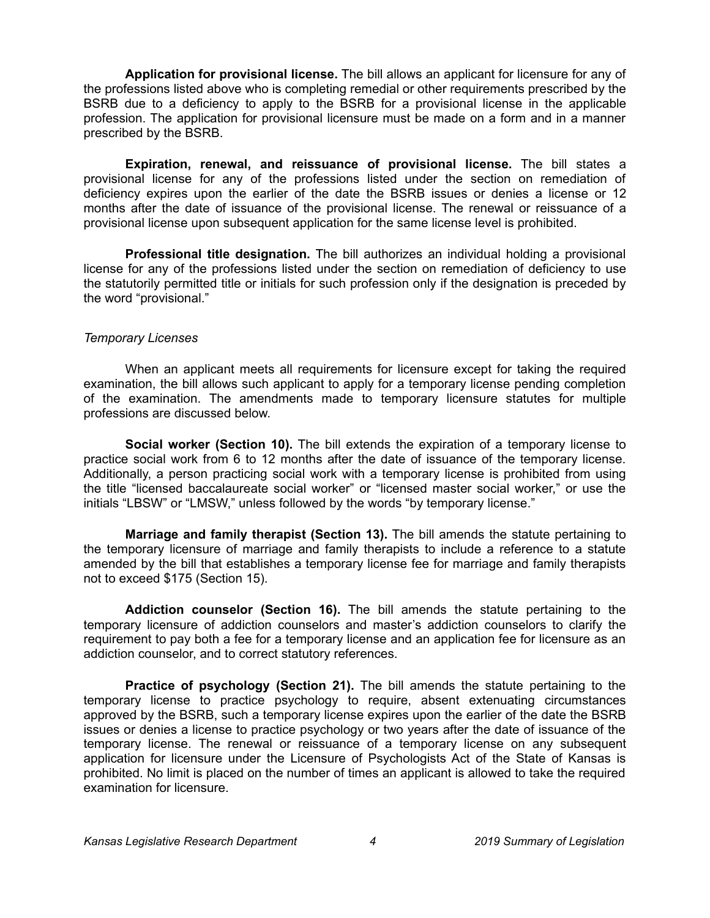**Application for provisional license.** The bill allows an applicant for licensure for any of the professions listed above who is completing remedial or other requirements prescribed by the BSRB due to a deficiency to apply to the BSRB for a provisional license in the applicable profession. The application for provisional licensure must be made on a form and in a manner prescribed by the BSRB.

**Expiration, renewal, and reissuance of provisional license.** The bill states a provisional license for any of the professions listed under the section on remediation of deficiency expires upon the earlier of the date the BSRB issues or denies a license or 12 months after the date of issuance of the provisional license. The renewal or reissuance of a provisional license upon subsequent application for the same license level is prohibited.

**Professional title designation.** The bill authorizes an individual holding a provisional license for any of the professions listed under the section on remediation of deficiency to use the statutorily permitted title or initials for such profession only if the designation is preceded by the word "provisional."

## *Temporary Licenses*

When an applicant meets all requirements for licensure except for taking the required examination, the bill allows such applicant to apply for a temporary license pending completion of the examination. The amendments made to temporary licensure statutes for multiple professions are discussed below.

**Social worker (Section 10).** The bill extends the expiration of a temporary license to practice social work from 6 to 12 months after the date of issuance of the temporary license. Additionally, a person practicing social work with a temporary license is prohibited from using the title "licensed baccalaureate social worker" or "licensed master social worker," or use the initials "LBSW" or "LMSW," unless followed by the words "by temporary license."

**Marriage and family therapist (Section 13).** The bill amends the statute pertaining to the temporary licensure of marriage and family therapists to include a reference to a statute amended by the bill that establishes a temporary license fee for marriage and family therapists not to exceed \$175 (Section 15).

**Addiction counselor (Section 16).** The bill amends the statute pertaining to the temporary licensure of addiction counselors and master's addiction counselors to clarify the requirement to pay both a fee for a temporary license and an application fee for licensure as an addiction counselor, and to correct statutory references.

**Practice of psychology (Section 21).** The bill amends the statute pertaining to the temporary license to practice psychology to require, absent extenuating circumstances approved by the BSRB, such a temporary license expires upon the earlier of the date the BSRB issues or denies a license to practice psychology or two years after the date of issuance of the temporary license. The renewal or reissuance of a temporary license on any subsequent application for licensure under the Licensure of Psychologists Act of the State of Kansas is prohibited. No limit is placed on the number of times an applicant is allowed to take the required examination for licensure.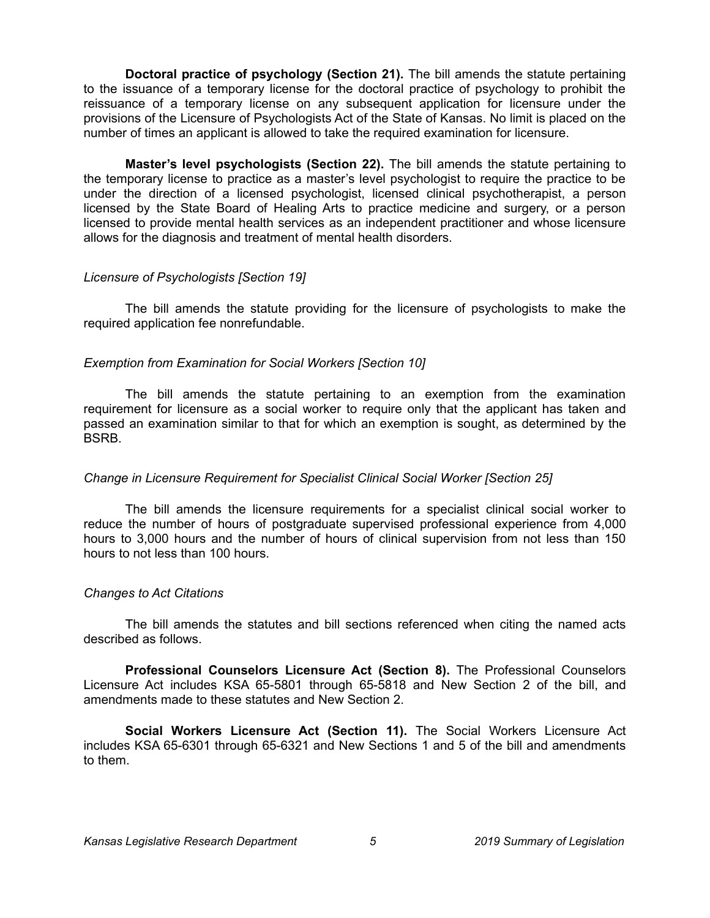**Doctoral practice of psychology (Section 21).** The bill amends the statute pertaining to the issuance of a temporary license for the doctoral practice of psychology to prohibit the reissuance of a temporary license on any subsequent application for licensure under the provisions of the Licensure of Psychologists Act of the State of Kansas. No limit is placed on the number of times an applicant is allowed to take the required examination for licensure.

**Master's level psychologists (Section 22).** The bill amends the statute pertaining to the temporary license to practice as a master's level psychologist to require the practice to be under the direction of a licensed psychologist, licensed clinical psychotherapist, a person licensed by the State Board of Healing Arts to practice medicine and surgery, or a person licensed to provide mental health services as an independent practitioner and whose licensure allows for the diagnosis and treatment of mental health disorders.

#### *Licensure of Psychologists [Section 19]*

The bill amends the statute providing for the licensure of psychologists to make the required application fee nonrefundable.

## *Exemption from Examination for Social Workers [Section 10]*

The bill amends the statute pertaining to an exemption from the examination requirement for licensure as a social worker to require only that the applicant has taken and passed an examination similar to that for which an exemption is sought, as determined by the **BSRB.** 

## *Change in Licensure Requirement for Specialist Clinical Social Worker [Section 25]*

The bill amends the licensure requirements for a specialist clinical social worker to reduce the number of hours of postgraduate supervised professional experience from 4,000 hours to 3,000 hours and the number of hours of clinical supervision from not less than 150 hours to not less than 100 hours.

#### *Changes to Act Citations*

The bill amends the statutes and bill sections referenced when citing the named acts described as follows.

**Professional Counselors Licensure Act (Section 8).** The Professional Counselors Licensure Act includes KSA 65-5801 through 65-5818 and New Section 2 of the bill, and amendments made to these statutes and New Section 2.

**Social Workers Licensure Act (Section 11).** The Social Workers Licensure Act includes KSA 65-6301 through 65-6321 and New Sections 1 and 5 of the bill and amendments to them.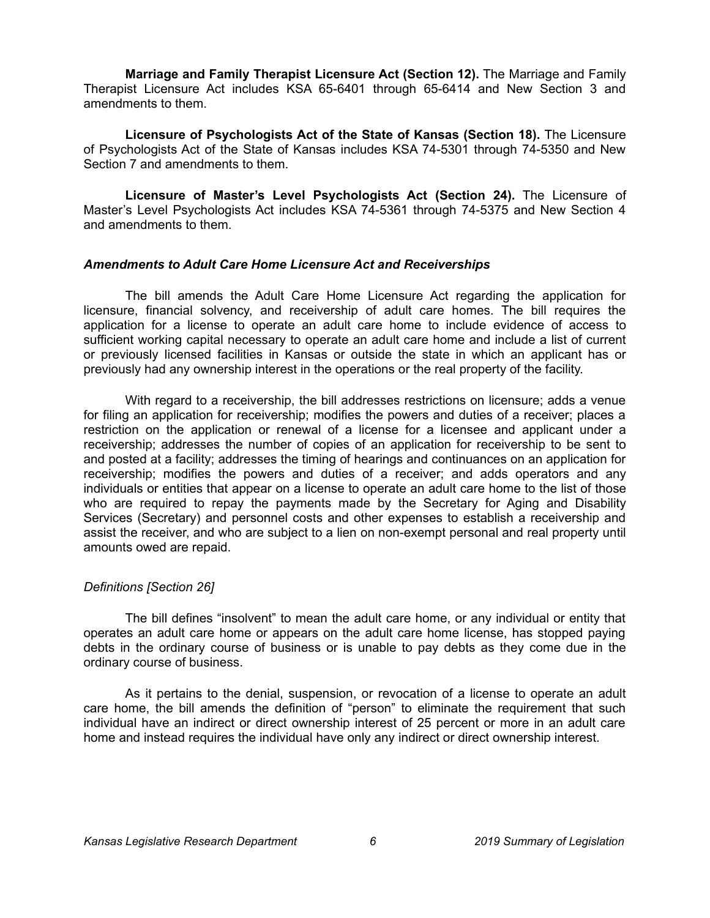**Marriage and Family Therapist Licensure Act (Section 12).** The Marriage and Family Therapist Licensure Act includes KSA 65-6401 through 65-6414 and New Section 3 and amendments to them.

**Licensure of Psychologists Act of the State of Kansas (Section 18).** The Licensure of Psychologists Act of the State of Kansas includes KSA 74-5301 through 74-5350 and New Section 7 and amendments to them.

**Licensure of Master's Level Psychologists Act (Section 24).** The Licensure of Master's Level Psychologists Act includes KSA 74-5361 through 74-5375 and New Section 4 and amendments to them.

#### *Amendments to Adult Care Home Licensure Act and Receiverships*

The bill amends the Adult Care Home Licensure Act regarding the application for licensure, financial solvency, and receivership of adult care homes. The bill requires the application for a license to operate an adult care home to include evidence of access to sufficient working capital necessary to operate an adult care home and include a list of current or previously licensed facilities in Kansas or outside the state in which an applicant has or previously had any ownership interest in the operations or the real property of the facility.

With regard to a receivership, the bill addresses restrictions on licensure; adds a venue for filing an application for receivership; modifies the powers and duties of a receiver; places a restriction on the application or renewal of a license for a licensee and applicant under a receivership; addresses the number of copies of an application for receivership to be sent to and posted at a facility; addresses the timing of hearings and continuances on an application for receivership; modifies the powers and duties of a receiver; and adds operators and any individuals or entities that appear on a license to operate an adult care home to the list of those who are required to repay the payments made by the Secretary for Aging and Disability Services (Secretary) and personnel costs and other expenses to establish a receivership and assist the receiver, and who are subject to a lien on non-exempt personal and real property until amounts owed are repaid.

## *Definitions [Section 26]*

The bill defines "insolvent" to mean the adult care home, or any individual or entity that operates an adult care home or appears on the adult care home license, has stopped paying debts in the ordinary course of business or is unable to pay debts as they come due in the ordinary course of business.

As it pertains to the denial, suspension, or revocation of a license to operate an adult care home, the bill amends the definition of "person" to eliminate the requirement that such individual have an indirect or direct ownership interest of 25 percent or more in an adult care home and instead requires the individual have only any indirect or direct ownership interest.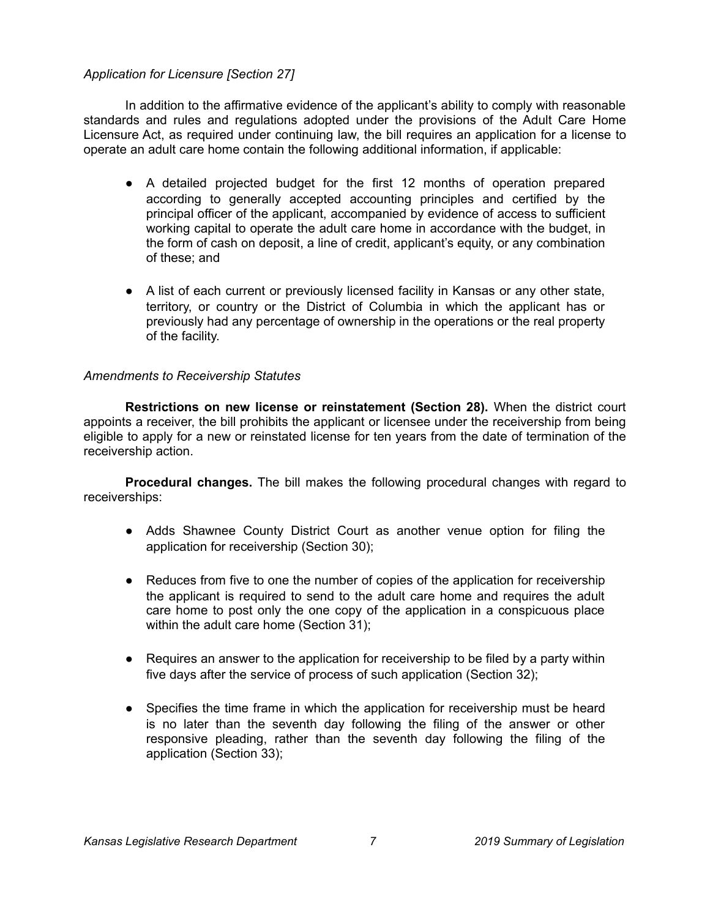## *Application for Licensure [Section 27]*

In addition to the affirmative evidence of the applicant's ability to comply with reasonable standards and rules and regulations adopted under the provisions of the Adult Care Home Licensure Act, as required under continuing law, the bill requires an application for a license to operate an adult care home contain the following additional information, if applicable:

- A detailed projected budget for the first 12 months of operation prepared according to generally accepted accounting principles and certified by the principal officer of the applicant, accompanied by evidence of access to sufficient working capital to operate the adult care home in accordance with the budget, in the form of cash on deposit, a line of credit, applicant's equity, or any combination of these; and
- A list of each current or previously licensed facility in Kansas or any other state, territory, or country or the District of Columbia in which the applicant has or previously had any percentage of ownership in the operations or the real property of the facility.

#### *Amendments to Receivership Statutes*

**Restrictions on new license or reinstatement (Section 28).** When the district court appoints a receiver, the bill prohibits the applicant or licensee under the receivership from being eligible to apply for a new or reinstated license for ten years from the date of termination of the receivership action.

**Procedural changes.** The bill makes the following procedural changes with regard to receiverships:

- Adds Shawnee County District Court as another venue option for filing the application for receivership (Section 30);
- Reduces from five to one the number of copies of the application for receivership the applicant is required to send to the adult care home and requires the adult care home to post only the one copy of the application in a conspicuous place within the adult care home (Section 31);
- Requires an answer to the application for receivership to be filed by a party within five days after the service of process of such application (Section 32);
- Specifies the time frame in which the application for receivership must be heard is no later than the seventh day following the filing of the answer or other responsive pleading, rather than the seventh day following the filing of the application (Section 33);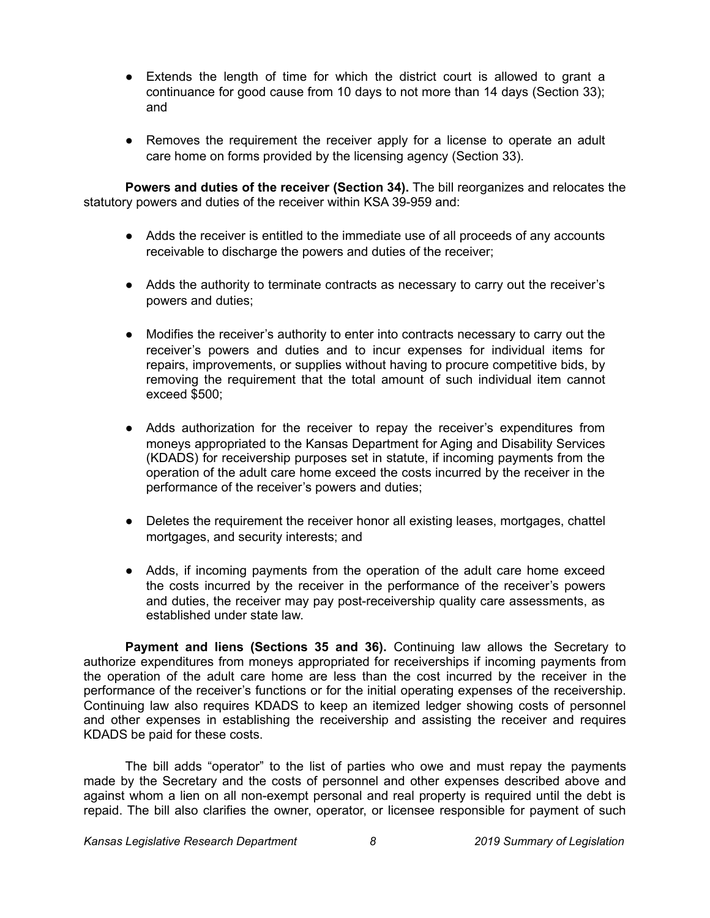- Extends the length of time for which the district court is allowed to grant a continuance for good cause from 10 days to not more than 14 days (Section 33); and
- Removes the requirement the receiver apply for a license to operate an adult care home on forms provided by the licensing agency (Section 33).

**Powers and duties of the receiver (Section 34).** The bill reorganizes and relocates the statutory powers and duties of the receiver within KSA 39-959 and:

- Adds the receiver is entitled to the immediate use of all proceeds of any accounts receivable to discharge the powers and duties of the receiver;
- Adds the authority to terminate contracts as necessary to carry out the receiver's powers and duties;
- Modifies the receiver's authority to enter into contracts necessary to carry out the receiver's powers and duties and to incur expenses for individual items for repairs, improvements, or supplies without having to procure competitive bids, by removing the requirement that the total amount of such individual item cannot exceed \$500;
- Adds authorization for the receiver to repay the receiver's expenditures from moneys appropriated to the Kansas Department for Aging and Disability Services (KDADS) for receivership purposes set in statute, if incoming payments from the operation of the adult care home exceed the costs incurred by the receiver in the performance of the receiver's powers and duties;
- Deletes the requirement the receiver honor all existing leases, mortgages, chattel mortgages, and security interests; and
- Adds, if incoming payments from the operation of the adult care home exceed the costs incurred by the receiver in the performance of the receiver's powers and duties, the receiver may pay post-receivership quality care assessments, as established under state law.

**Payment and liens (Sections 35 and 36).** Continuing law allows the Secretary to authorize expenditures from moneys appropriated for receiverships if incoming payments from the operation of the adult care home are less than the cost incurred by the receiver in the performance of the receiver's functions or for the initial operating expenses of the receivership. Continuing law also requires KDADS to keep an itemized ledger showing costs of personnel and other expenses in establishing the receivership and assisting the receiver and requires KDADS be paid for these costs.

The bill adds "operator" to the list of parties who owe and must repay the payments made by the Secretary and the costs of personnel and other expenses described above and against whom a lien on all non-exempt personal and real property is required until the debt is repaid. The bill also clarifies the owner, operator, or licensee responsible for payment of such